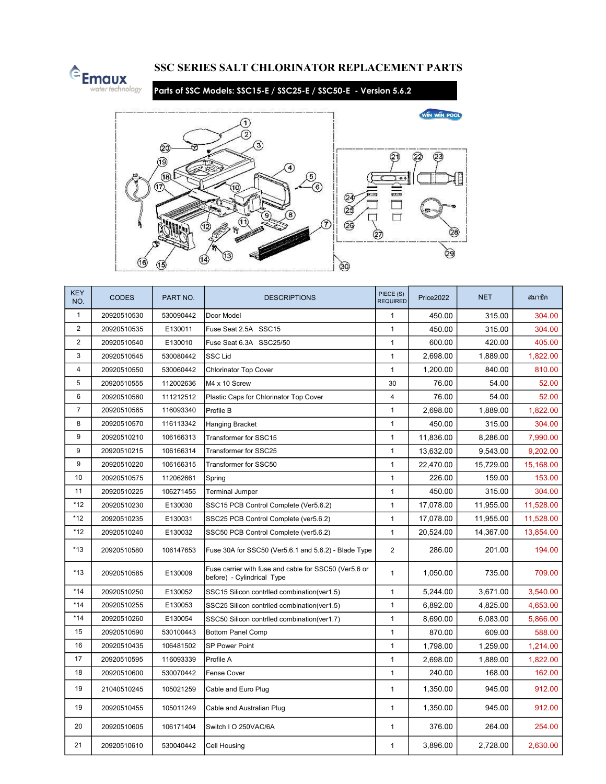

## SSC SERIES SALT CHLORINATOR REPLACEMENT PARTS

Parts of SSC Models: SSC15-E / SSC25-E / SSC50-E - Version 5.6.2



| <b>KEY</b><br>NO. | <b>CODES</b> | PART NO.  | <b>DESCRIPTIONS</b>                                                                 | PIECE (S)<br><b>REQUIRED</b> | Price2022 | <b>NET</b> | สมาชิก    |
|-------------------|--------------|-----------|-------------------------------------------------------------------------------------|------------------------------|-----------|------------|-----------|
| $\mathbf{1}$      | 20920510530  | 530090442 | Door Model                                                                          |                              | 450.00    | 315.00     | 304.00    |
| $\overline{2}$    | 20920510535  | E130011   | Fuse Seat 2.5A SSC15                                                                |                              | 450.00    | 315.00     | 304.00    |
| $\overline{2}$    | 20920510540  | E130010   | Fuse Seat 6.3A SSC25/50                                                             |                              | 600.00    | 420.00     | 405.00    |
| $\mathbf{3}$      | 20920510545  | 530080442 | <b>SSC Lid</b>                                                                      |                              | 2,698.00  | 1,889.00   | 1,822.00  |
| 4                 | 20920510550  | 530060442 | <b>Chlorinator Top Cover</b>                                                        | $\mathbf{1}$                 | 1,200.00  | 840.00     | 810.00    |
| 5                 | 20920510555  | 112002636 | M4 x 10 Screw                                                                       | 30                           | 76.00     | 54.00      | 52.00     |
| 6                 | 20920510560  | 111212512 | Plastic Caps for Chlorinator Top Cover                                              | $\overline{4}$               | 76.00     | 54.00      | 52.00     |
| $\overline{7}$    | 20920510565  | 116093340 | Profile B                                                                           | $\mathbf{1}$                 | 2,698.00  | 1,889.00   | 1,822.00  |
| 8                 | 20920510570  | 116113342 | <b>Hanging Bracket</b>                                                              | $\mathbf{1}$                 | 450.00    | 315.00     | 304.00    |
| 9                 | 20920510210  | 106166313 | Transformer for SSC15                                                               | $\mathbf{1}$                 | 11,836.00 | 8,286.00   | 7,990.00  |
| 9                 | 20920510215  | 106166314 | Transformer for SSC25                                                               | $\mathbf{1}$                 | 13,632.00 | 9,543.00   | 9,202.00  |
| 9                 | 20920510220  | 106166315 | Transformer for SSC50                                                               | $\mathbf{1}$                 | 22,470.00 | 15,729.00  | 15,168.00 |
| 10                | 20920510575  | 112062661 | Spring                                                                              | $\mathbf{1}$                 | 226.00    | 159.00     | 153.00    |
| 11                | 20920510225  | 106271455 | <b>Terminal Jumper</b>                                                              | $\mathbf{1}$                 | 450.00    | 315.00     | 304.00    |
| $*12$             | 20920510230  | E130030   | SSC15 PCB Control Complete (Ver5.6.2)                                               | $\mathbf{1}$                 | 17,078.00 | 11,955.00  | 11,528.00 |
| $*12$             | 20920510235  | E130031   | SSC25 PCB Control Complete (ver5.6.2)                                               | $\mathbf{1}$                 | 17,078.00 | 11,955.00  | 11,528.00 |
| $*12$             | 20920510240  | E130032   | SSC50 PCB Control Complete (ver5.6.2)                                               | $\mathbf{1}$                 | 20,524.00 | 14,367.00  | 13,854.00 |
| $*13$             | 20920510580  | 106147653 | Fuse 30A for SSC50 (Ver5.6.1 and 5.6.2) - Blade Type                                | $\overline{2}$               | 286.00    | 201.00     | 194.00    |
| $*13$             | 20920510585  | E130009   | Fuse carrier with fuse and cable for SSC50 (Ver5.6 or<br>before) - Cylindrical Type | $\mathbf{1}$                 | 1,050.00  | 735.00     | 709.00    |
| $*14$             | 20920510250  | E130052   | SSC15 Silicon contriled combination(ver1.5)                                         | $\mathbf{1}$                 | 5,244.00  | 3,671.00   | 3,540.00  |
| $*14$             | 20920510255  | E130053   | SSC25 Silicon contriled combination(ver1.5)                                         | $\mathbf{1}$                 | 6,892.00  | 4,825.00   | 4,653.00  |
| $*14$             | 20920510260  | E130054   | SSC50 Silicon contriled combination(ver1.7)                                         | $\mathbf{1}$                 | 8,690.00  | 6,083.00   | 5,866.00  |
| 15                | 20920510590  | 530100443 | <b>Bottom Panel Comp</b>                                                            | $\mathbf{1}$                 | 870.00    | 609.00     | 588.00    |
| 16                | 20920510435  | 106481502 | <b>SP Power Point</b>                                                               | $\mathbf{1}$                 | 1,798.00  | 1,259.00   | 1,214.00  |
| 17                | 20920510595  | 116093339 | Profile A                                                                           | $\mathbf{1}$                 | 2,698.00  | 1,889.00   | 1,822.00  |
| 18                | 20920510600  | 530070442 | <b>Fense Cover</b>                                                                  | $\mathbf{1}$                 | 240.00    | 168.00     | 162.00    |
| 19                | 21040510245  | 105021259 | Cable and Euro Plug                                                                 | $\mathbf{1}$                 | 1,350.00  | 945.00     | 912.00    |
| 19                | 20920510455  | 105011249 | Cable and Australian Plug                                                           | $\mathbf{1}$                 | 1,350.00  | 945.00     | 912.00    |
| 20                | 20920510605  | 106171404 | Switch I O 250VAC/6A                                                                | $\mathbf{1}$                 | 376.00    | 264.00     | 254.00    |
| 21                | 20920510610  | 530040442 | Cell Housing                                                                        | $\mathbf{1}$                 | 3,896.00  | 2,728.00   | 2,630.00  |